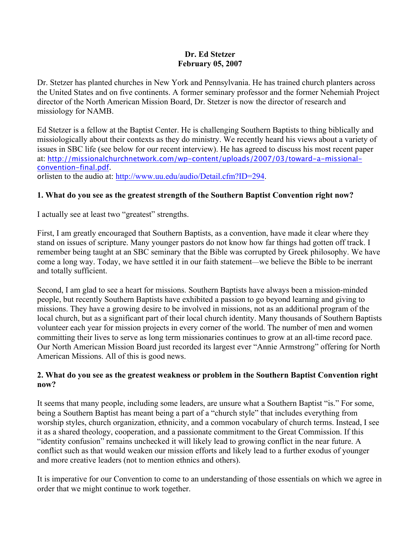#### **Dr. Ed Stetzer February 05, 2007**

Dr. Stetzer has planted churches in New York and Pennsylvania. He has trained church planters across the United States and on five continents. A former seminary professor and the former Nehemiah Project director of the North American Mission Board, Dr. Stetzer is now the director of research and missiology for NAMB.

Ed Stetzer is a fellow at the Baptist Center. He is challenging Southern Baptists to thing biblically and missiologically about their contexts as they do ministry. We recently heard his views about a variety of issues in SBC life (see below for our recent interview). He has agreed to discuss his most recent paper at: http://missionalchurchnetwork.com/wp-content/uploads/2007/03/toward-a-missionalconvention-final.pdf. orlisten to the audio at: http://www.uu.edu/audio/Detail.cfm?ID=294.

# **1. What do you see as the greatest strength of the Southern Baptist Convention right now?**

I actually see at least two "greatest" strengths.

First, I am greatly encouraged that Southern Baptists, as a convention, have made it clear where they stand on issues of scripture. Many younger pastors do not know how far things had gotten off track. I remember being taught at an SBC seminary that the Bible was corrupted by Greek philosophy. We have come a long way. Today, we have settled it in our faith statement—we believe the Bible to be inerrant and totally sufficient.

Second, I am glad to see a heart for missions. Southern Baptists have always been a mission-minded people, but recently Southern Baptists have exhibited a passion to go beyond learning and giving to missions. They have a growing desire to be involved in missions, not as an additional program of the local church, but as a significant part of their local church identity. Many thousands of Southern Baptists volunteer each year for mission projects in every corner of the world. The number of men and women committing their lives to serve as long term missionaries continues to grow at an all-time record pace. Our North American Mission Board just recorded its largest ever "Annie Armstrong" offering for North American Missions. All of this is good news.

# **2. What do you see as the greatest weakness or problem in the Southern Baptist Convention right now?**

It seems that many people, including some leaders, are unsure what a Southern Baptist "is." For some, being a Southern Baptist has meant being a part of a "church style" that includes everything from worship styles, church organization, ethnicity, and a common vocabulary of church terms. Instead, I see it as a shared theology, cooperation, and a passionate commitment to the Great Commission. If this "identity confusion" remains unchecked it will likely lead to growing conflict in the near future. A conflict such as that would weaken our mission efforts and likely lead to a further exodus of younger and more creative leaders (not to mention ethnics and others).

It is imperative for our Convention to come to an understanding of those essentials on which we agree in order that we might continue to work together.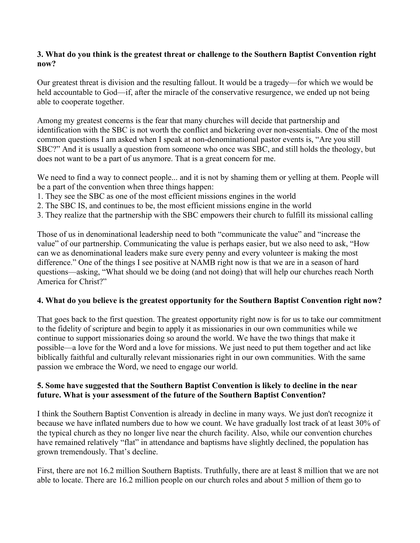# **3. What do you think is the greatest threat or challenge to the Southern Baptist Convention right now?**

Our greatest threat is division and the resulting fallout. It would be a tragedy—for which we would be held accountable to God—if, after the miracle of the conservative resurgence, we ended up not being able to cooperate together.

Among my greatest concerns is the fear that many churches will decide that partnership and identification with the SBC is not worth the conflict and bickering over non-essentials. One of the most common questions I am asked when I speak at non-denominational pastor events is, "Are you still SBC?" And it is usually a question from someone who once was SBC, and still holds the theology, but does not want to be a part of us anymore. That is a great concern for me.

We need to find a way to connect people... and it is not by shaming them or yelling at them. People will be a part of the convention when three things happen:

- 1. They see the SBC as one of the most efficient missions engines in the world
- 2. The SBC IS, and continues to be, the most efficient missions engine in the world
- 3. They realize that the partnership with the SBC empowers their church to fulfill its missional calling

Those of us in denominational leadership need to both "communicate the value" and "increase the value" of our partnership. Communicating the value is perhaps easier, but we also need to ask, "How can we as denominational leaders make sure every penny and every volunteer is making the most difference." One of the things I see positive at NAMB right now is that we are in a season of hard questions—asking, "What should we be doing (and not doing) that will help our churches reach North America for Christ?"

#### **4. What do you believe is the greatest opportunity for the Southern Baptist Convention right now?**

That goes back to the first question. The greatest opportunity right now is for us to take our commitment to the fidelity of scripture and begin to apply it as missionaries in our own communities while we continue to support missionaries doing so around the world. We have the two things that make it possible—a love for the Word and a love for missions. We just need to put them together and act like biblically faithful and culturally relevant missionaries right in our own communities. With the same passion we embrace the Word, we need to engage our world.

#### **5. Some have suggested that the Southern Baptist Convention is likely to decline in the near future. What is your assessment of the future of the Southern Baptist Convention?**

I think the Southern Baptist Convention is already in decline in many ways. We just don't recognize it because we have inflated numbers due to how we count. We have gradually lost track of at least 30% of the typical church as they no longer live near the church facility. Also, while our convention churches have remained relatively "flat" in attendance and baptisms have slightly declined, the population has grown tremendously. That's decline.

First, there are not 16.2 million Southern Baptists. Truthfully, there are at least 8 million that we are not able to locate. There are 16.2 million people on our church roles and about 5 million of them go to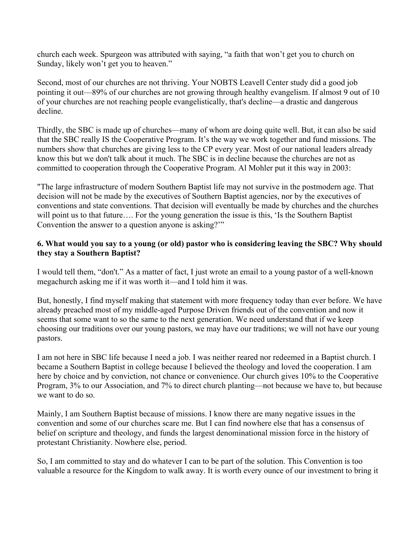church each week. Spurgeon was attributed with saying, "a faith that won't get you to church on Sunday, likely won't get you to heaven."

Second, most of our churches are not thriving. Your NOBTS Leavell Center study did a good job pointing it out—89% of our churches are not growing through healthy evangelism. If almost 9 out of 10 of your churches are not reaching people evangelistically, that's decline—a drastic and dangerous decline.

Thirdly, the SBC is made up of churches—many of whom are doing quite well. But, it can also be said that the SBC really IS the Cooperative Program. It's the way we work together and fund missions. The numbers show that churches are giving less to the CP every year. Most of our national leaders already know this but we don't talk about it much. The SBC is in decline because the churches are not as committed to cooperation through the Cooperative Program. Al Mohler put it this way in 2003:

"The large infrastructure of modern Southern Baptist life may not survive in the postmodern age. That decision will not be made by the executives of Southern Baptist agencies, nor by the executives of conventions and state conventions. That decision will eventually be made by churches and the churches will point us to that future.... For the young generation the issue is this, 'Is the Southern Baptist Convention the answer to a question anyone is asking?'"

## **6. What would you say to a young (or old) pastor who is considering leaving the SBC? Why should they stay a Southern Baptist?**

I would tell them, "don't." As a matter of fact, I just wrote an email to a young pastor of a well-known megachurch asking me if it was worth it—and I told him it was.

But, honestly, I find myself making that statement with more frequency today than ever before. We have already preached most of my middle-aged Purpose Driven friends out of the convention and now it seems that some want to so the same to the next generation. We need understand that if we keep choosing our traditions over our young pastors, we may have our traditions; we will not have our young pastors.

I am not here in SBC life because I need a job. I was neither reared nor redeemed in a Baptist church. I became a Southern Baptist in college because I believed the theology and loved the cooperation. I am here by choice and by conviction, not chance or convenience. Our church gives 10% to the Cooperative Program, 3% to our Association, and 7% to direct church planting—not because we have to, but because we want to do so.

Mainly, I am Southern Baptist because of missions. I know there are many negative issues in the convention and some of our churches scare me. But I can find nowhere else that has a consensus of belief on scripture and theology, and funds the largest denominational mission force in the history of protestant Christianity. Nowhere else, period.

So, I am committed to stay and do whatever I can to be part of the solution. This Convention is too valuable a resource for the Kingdom to walk away. It is worth every ounce of our investment to bring it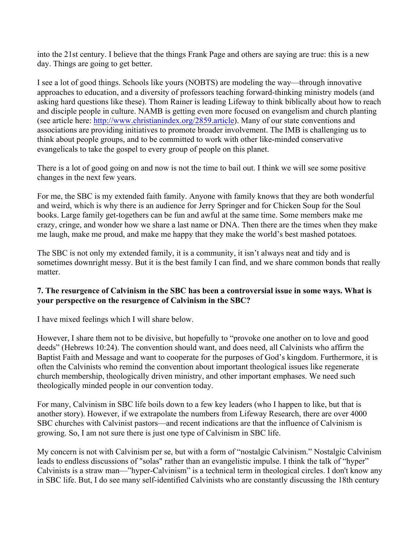into the 21st century. I believe that the things Frank Page and others are saying are true: this is a new day. Things are going to get better.

I see a lot of good things. Schools like yours (NOBTS) are modeling the way—through innovative approaches to education, and a diversity of professors teaching forward-thinking ministry models (and asking hard questions like these). Thom Rainer is leading Lifeway to think biblically about how to reach and disciple people in culture. NAMB is getting even more focused on evangelism and church planting (see article here: http://www.christianindex.org/2859.article). Many of our state conventions and associations are providing initiatives to promote broader involvement. The IMB is challenging us to think about people groups, and to be committed to work with other like-minded conservative evangelicals to take the gospel to every group of people on this planet.

There is a lot of good going on and now is not the time to bail out. I think we will see some positive changes in the next few years.

For me, the SBC is my extended faith family. Anyone with family knows that they are both wonderful and weird, which is why there is an audience for Jerry Springer and for Chicken Soup for the Soul books. Large family get-togethers can be fun and awful at the same time. Some members make me crazy, cringe, and wonder how we share a last name or DNA. Then there are the times when they make me laugh, make me proud, and make me happy that they make the world's best mashed potatoes.

The SBC is not only my extended family, it is a community, it isn't always neat and tidy and is sometimes downright messy. But it is the best family I can find, and we share common bonds that really matter.

#### **7. The resurgence of Calvinism in the SBC has been a controversial issue in some ways. What is your perspective on the resurgence of Calvinism in the SBC?**

I have mixed feelings which I will share below.

However, I share them not to be divisive, but hopefully to "provoke one another on to love and good deeds" (Hebrews 10:24). The convention should want, and does need, all Calvinists who affirm the Baptist Faith and Message and want to cooperate for the purposes of God's kingdom. Furthermore, it is often the Calvinists who remind the convention about important theological issues like regenerate church membership, theologically driven ministry, and other important emphases. We need such theologically minded people in our convention today.

For many, Calvinism in SBC life boils down to a few key leaders (who I happen to like, but that is another story). However, if we extrapolate the numbers from Lifeway Research, there are over 4000 SBC churches with Calvinist pastors—and recent indications are that the influence of Calvinism is growing. So, I am not sure there is just one type of Calvinism in SBC life.

My concern is not with Calvinism per se, but with a form of "nostalgic Calvinism." Nostalgic Calvinism leads to endless discussions of "solas" rather than an evangelistic impulse. I think the talk of "hyper" Calvinists is a straw man—"hyper-Calvinism" is a technical term in theological circles. I don't know any in SBC life. But, I do see many self-identified Calvinists who are constantly discussing the 18th century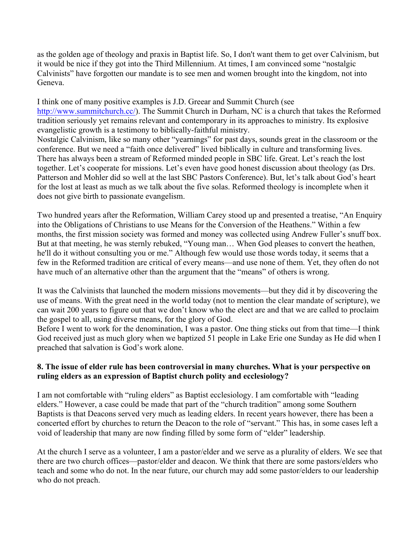as the golden age of theology and praxis in Baptist life. So, I don't want them to get over Calvinism, but it would be nice if they got into the Third Millennium. At times, I am convinced some "nostalgic Calvinists" have forgotten our mandate is to see men and women brought into the kingdom, not into Geneva.

I think one of many positive examples is J.D. Greear and Summit Church (see http://www.summitchurch.cc/). The Summit Church in Durham, NC is a church that takes the Reformed tradition seriously yet remains relevant and contemporary in its approaches to ministry. Its explosive evangelistic growth is a testimony to biblically-faithful ministry.

Nostalgic Calvinism, like so many other "yearnings" for past days, sounds great in the classroom or the conference. But we need a "faith once delivered" lived biblically in culture and transforming lives. There has always been a stream of Reformed minded people in SBC life. Great. Let's reach the lost together. Let's cooperate for missions. Let's even have good honest discussion about theology (as Drs. Patterson and Mohler did so well at the last SBC Pastors Conference). But, let's talk about God's heart for the lost at least as much as we talk about the five solas. Reformed theology is incomplete when it does not give birth to passionate evangelism.

Two hundred years after the Reformation, William Carey stood up and presented a treatise, "An Enquiry into the Obligations of Christians to use Means for the Conversion of the Heathens." Within a few months, the first mission society was formed and money was collected using Andrew Fuller's snuff box. But at that meeting, he was sternly rebuked, "Young man… When God pleases to convert the heathen, he'll do it without consulting you or me." Although few would use those words today, it seems that a few in the Reformed tradition are critical of every means—and use none of them. Yet, they often do not have much of an alternative other than the argument that the "means" of others is wrong.

It was the Calvinists that launched the modern missions movements—but they did it by discovering the use of means. With the great need in the world today (not to mention the clear mandate of scripture), we can wait 200 years to figure out that we don't know who the elect are and that we are called to proclaim the gospel to all, using diverse means, for the glory of God.

Before I went to work for the denomination, I was a pastor. One thing sticks out from that time—I think God received just as much glory when we baptized 51 people in Lake Erie one Sunday as He did when I preached that salvation is God's work alone.

# **8. The issue of elder rule has been controversial in many churches. What is your perspective on ruling elders as an expression of Baptist church polity and ecclesiology?**

I am not comfortable with "ruling elders" as Baptist ecclesiology. I am comfortable with "leading elders." However, a case could be made that part of the "church tradition" among some Southern Baptists is that Deacons served very much as leading elders. In recent years however, there has been a concerted effort by churches to return the Deacon to the role of "servant." This has, in some cases left a void of leadership that many are now finding filled by some form of "elder" leadership.

At the church I serve as a volunteer, I am a pastor/elder and we serve as a plurality of elders. We see that there are two church offices—pastor/elder and deacon. We think that there are some pastors/elders who teach and some who do not. In the near future, our church may add some pastor/elders to our leadership who do not preach.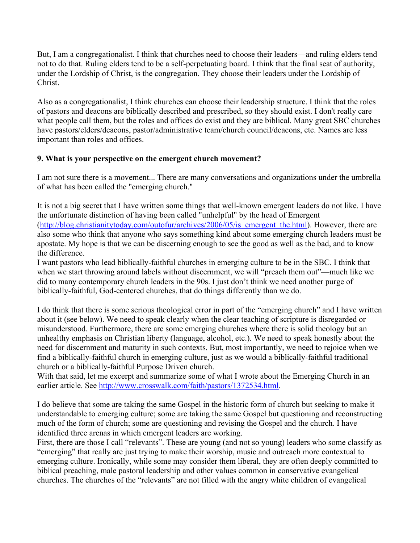But, I am a congregationalist. I think that churches need to choose their leaders—and ruling elders tend not to do that. Ruling elders tend to be a self-perpetuating board. I think that the final seat of authority, under the Lordship of Christ, is the congregation. They choose their leaders under the Lordship of Christ.

Also as a congregationalist, I think churches can choose their leadership structure. I think that the roles of pastors and deacons are biblically described and prescribed, so they should exist. I don't really care what people call them, but the roles and offices do exist and they are biblical. Many great SBC churches have pastors/elders/deacons, pastor/administrative team/church council/deacons, etc. Names are less important than roles and offices.

# **9. What is your perspective on the emergent church movement?**

I am not sure there is a movement... There are many conversations and organizations under the umbrella of what has been called the "emerging church."

It is not a big secret that I have written some things that well-known emergent leaders do not like. I have the unfortunate distinction of having been called "unhelpful" by the head of Emergent (http://blog.christianitytoday.com/outofur/archives/2006/05/is\_emergent\_the.html). However, there are also some who think that anyone who says something kind about some emerging church leaders must be apostate. My hope is that we can be discerning enough to see the good as well as the bad, and to know the difference.

I want pastors who lead biblically-faithful churches in emerging culture to be in the SBC. I think that when we start throwing around labels without discernment, we will "preach them out"—much like we did to many contemporary church leaders in the 90s. I just don't think we need another purge of biblically-faithful, God-centered churches, that do things differently than we do.

I do think that there is some serious theological error in part of the "emerging church" and I have written about it (see below). We need to speak clearly when the clear teaching of scripture is disregarded or misunderstood. Furthermore, there are some emerging churches where there is solid theology but an unhealthy emphasis on Christian liberty (language, alcohol, etc.). We need to speak honestly about the need for discernment and maturity in such contexts. But, most importantly, we need to rejoice when we find a biblically-faithful church in emerging culture, just as we would a biblically-faithful traditional church or a biblically-faithful Purpose Driven church.

With that said, let me excerpt and summarize some of what I wrote about the Emerging Church in an earlier article. See http://www.crosswalk.com/faith/pastors/1372534.html.

I do believe that some are taking the same Gospel in the historic form of church but seeking to make it understandable to emerging culture; some are taking the same Gospel but questioning and reconstructing much of the form of church; some are questioning and revising the Gospel and the church. I have identified three arenas in which emergent leaders are working.

First, there are those I call "relevants". These are young (and not so young) leaders who some classify as "emerging" that really are just trying to make their worship, music and outreach more contextual to emerging culture. Ironically, while some may consider them liberal, they are often deeply committed to biblical preaching, male pastoral leadership and other values common in conservative evangelical churches. The churches of the "relevants" are not filled with the angry white children of evangelical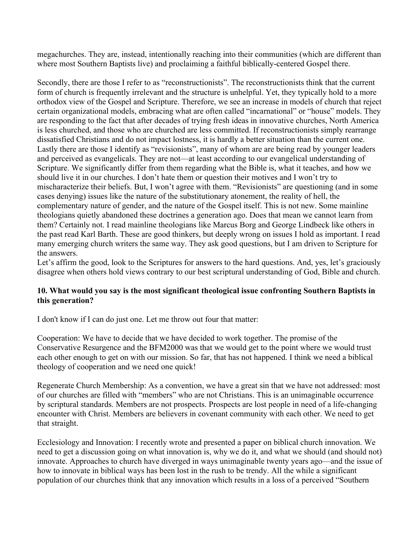megachurches. They are, instead, intentionally reaching into their communities (which are different than where most Southern Baptists live) and proclaiming a faithful biblically-centered Gospel there.

Secondly, there are those I refer to as "reconstructionists". The reconstructionists think that the current form of church is frequently irrelevant and the structure is unhelpful. Yet, they typically hold to a more orthodox view of the Gospel and Scripture. Therefore, we see an increase in models of church that reject certain organizational models, embracing what are often called "incarnational" or "house" models. They are responding to the fact that after decades of trying fresh ideas in innovative churches, North America is less churched, and those who are churched are less committed. If reconstructionists simply rearrange dissatisfied Christians and do not impact lostness, it is hardly a better situation than the current one. Lastly there are those I identify as "revisionists", many of whom are are being read by younger leaders and perceived as evangelicals. They are not—at least according to our evangelical understanding of Scripture. We significantly differ from them regarding what the Bible is, what it teaches, and how we should live it in our churches. I don't hate them or question their motives and I won't try to mischaracterize their beliefs. But, I won't agree with them. "Revisionists" are questioning (and in some cases denying) issues like the nature of the substitutionary atonement, the reality of hell, the complementary nature of gender, and the nature of the Gospel itself. This is not new. Some mainline theologians quietly abandoned these doctrines a generation ago. Does that mean we cannot learn from them? Certainly not. I read mainline theologians like Marcus Borg and George Lindbeck like others in the past read Karl Barth. These are good thinkers, but deeply wrong on issues I hold as important. I read many emerging church writers the same way. They ask good questions, but I am driven to Scripture for the answers.

Let's affirm the good, look to the Scriptures for answers to the hard questions. And, yes, let's graciously disagree when others hold views contrary to our best scriptural understanding of God, Bible and church.

# **10. What would you say is the most significant theological issue confronting Southern Baptists in this generation?**

I don't know if I can do just one. Let me throw out four that matter:

Cooperation: We have to decide that we have decided to work together. The promise of the Conservative Resurgence and the BFM2000 was that we would get to the point where we would trust each other enough to get on with our mission. So far, that has not happened. I think we need a biblical theology of cooperation and we need one quick!

Regenerate Church Membership: As a convention, we have a great sin that we have not addressed: most of our churches are filled with "members" who are not Christians. This is an unimaginable occurrence by scriptural standards. Members are not prospects. Prospects are lost people in need of a life-changing encounter with Christ. Members are believers in covenant community with each other. We need to get that straight.

Ecclesiology and Innovation: I recently wrote and presented a paper on biblical church innovation. We need to get a discussion going on what innovation is, why we do it, and what we should (and should not) innovate. Approaches to church have diverged in ways unimaginable twenty years ago—and the issue of how to innovate in biblical ways has been lost in the rush to be trendy. All the while a significant population of our churches think that any innovation which results in a loss of a perceived "Southern